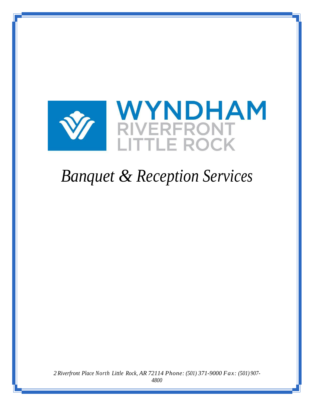

# *Banquet & Reception Services*

 *Riverfront Place North Little Rock, AR 72114 Phone: (501) 371-9000 Fax: (501) 907-*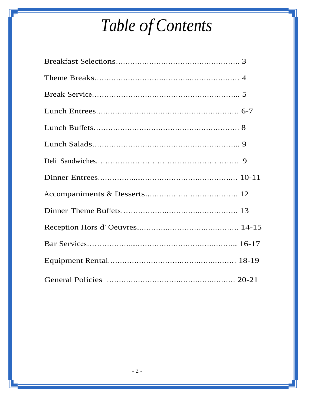# *Table of Contents*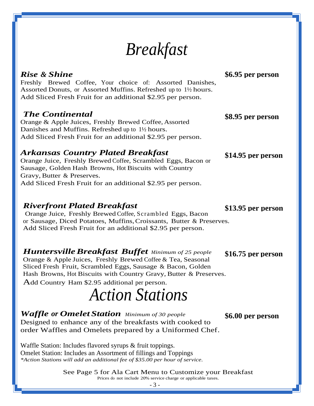# *Breakfast*

### *Rise & Shine*

Freshly Brewed Coffee, Your choice of: Assorted Danishes, Assorted Donuts, or Assorted Muffins. Refreshed up to 1½ hours. Add Sliced Fresh Fruit for an additional \$2.95 per person.

### *The Continental*

Orange & Apple Juices, Freshly Brewed Coffee, Assorted Danishes and Muffins. Refreshed up to 1½ hours. Add Sliced Fresh Fruit for an additional \$2.95 per person.

#### *Arkansas Country Plated Breakfast*

Orange Juice, Freshly Brewed Coffee, Scrambled Eggs, Bacon or Sausage, Golden Hash Browns, Hot Biscuits with Country Gravy, Butter & Preserves. Add Sliced Fresh Fruit for an additional \$2.95 per person.

#### *Riverfront Plated Breakfast*

Orange Juice, Freshly Brewed Coffee, Scrambled Eggs, Bacon or Sausage, Diced Potatoes, Muffins,Croissants, Butter & Preserves. Add Sliced Fresh Fruit for an additional \$2.95 per person.

### *HuntersvilleBreakfast Buffet Minimum of <sup>25</sup> people*

Orange & Apple Juices, Freshly Brewed Coffee & Tea, Seasonal Sliced Fresh Fruit, Scrambled Eggs, Sausage & Bacon, Golden Hash Browns, Hot Biscuits with Country Gravy, Butter & Preserves. Add Country Ham \$2.95 additional per person.

# *Action Stations*

*Waffle or Omelet Station Minimum of <sup>30</sup> people*  Designed to enhance any of the breakfasts with cooked to order Waffles and Omelets prepared by a Uniformed Chef.

Waffle Station: Includes flavored syrups & fruit toppings. Omelet Station: Includes an Assortment of fillings and Toppings *\*Action Stations will add an additional fee of \$35.00 per hour of service.*

> See Page 5 for Ala Cart Menu to Customize your Breakfast Prices do not include 20% service charge or applicable taxes.

**\$13.95 per person**

**\$8.95 per person**

**\$6.95 per person**

**\$14.95 per person**

**\$16.75 per person**

**\$6.00 per person**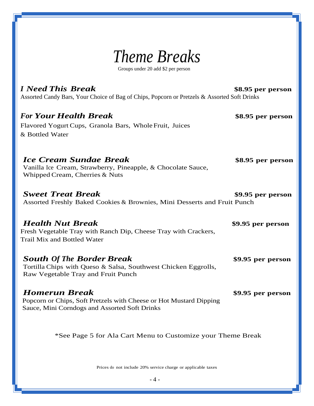

Groups under 20 add \$2 per person

#### *I Need This Break* **\$8.95 per person**

Assorted Candy Bars, Your Choice of Bag of Chips, Popcorn or Pretzels & Assorted Soft Drinks

#### *For Your Health Break* **\$8.95 per person**

Flavored Yogurt Cups, Granola Bars, WholeFruit, Juices & Bottled Water

#### *Ice Cream Sundae Break* **\$8.95 per person**

Vanilla Ice Cream, Strawberry, Pineapple, & Chocolate Sauce, Whipped Cream, Cherries & Nuts

*Sweet Treat Break* **\$9.95 per person** Assorted Freshly Baked Cookies & Brownies, Mini Desserts and Fruit Punch

#### *Health Nut Break* **\$9.95 per person**

Fresh Vegetable Tray with Ranch Dip, Cheese Tray with Crackers, Trail Mix and Bottled Water

#### *South Of The Border Break* **\$9.95 per person**

Tortilla Chips with Queso & Salsa, Southwest Chicken Eggrolls, Raw Vegetable Tray and Fruit Punch

#### *Homerun Break* **\$9.95 per person**

Popcorn or Chips, Soft Pretzels with Cheese or Hot Mustard Dipping Sauce, Mini Corndogs and Assorted Soft Drinks

\*See Page 5 for Ala Cart Menu to Customize your Theme Break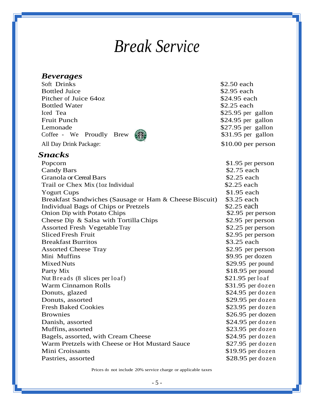# *Break Service*

#### *Beverages*

*Snacks*

Soft Drinks  $\frac{1}{2}$  Soft Drinks  $\frac{1}{2}$  Soft Drinks  $\frac{1}{2}$  Soft Drinks  $\frac{1}{2}$ Bottled Juice \$2.95 each Pitcher of Juice 64oz  $\$24.95$  each Bottled Water  $$2.25$  each Iced Tea  $$25.95$  per gallon Fruit Punch  $$24.95$  per gallon Lemonade  $\frac{1}{2}$   $\frac{1}{2}$   $\frac{1}{2}$   $\frac{1}{2}$   $\frac{1}{2}$   $\frac{1}{2}$   $\frac{1}{2}$   $\frac{1}{2}$   $\frac{1}{2}$   $\frac{1}{2}$   $\frac{1}{2}$   $\frac{1}{2}$   $\frac{1}{2}$   $\frac{1}{2}$   $\frac{1}{2}$   $\frac{1}{2}$   $\frac{1}{2}$   $\frac{1}{2}$   $\frac{1}{2}$   $\frac{1}{2}$   $\frac{1}{2}$   $\frac$ Coffee - We Proudly Brew  $\binom{2}{3}$  \$31.95 per gallon All Day Drink Package:  $$10.00$  per person

Individual Bags of Chips or Pretzels



Popcorn \$1.95 per person Candy Bars  $\frac{1}{2}$  S2.75 each Granola or Cereal Bars  $$2.25$  each Trail or Chex Mix (1oz Individual \$2.25 each Yogurt Cups  $$1.95$  each Breakfast Sandwiches (Sausage or Ham & Cheese Biscuit) \$3.25 each<br>Individual Bags of Chips or Pretzels \$2.25 each Onion Dip with Potato Chips  $$2.95$  per person Cheese Dip & Salsa with Tortilla Chips \$2.95 per person Assorted Fresh Vegetable Tray \$2.25 per person Sliced Fresh Fruit **Sliced Fresh Fruit** 82.95 per person Breakfast Burritos **\$3.25 each** Assorted Cheese Tray \$2.95 per person Mini Muffins  $\frac{1}{2}$  Mini Muffins Mixed Nuts \$29.95 per pound Party Mix  $$18.95$  per pound Nut Breads (8 slices per loaf)  $$21.95$  per loaf Warm Cinnamon Rolls **\$31.95** per dozen Donuts, glazed  $$24.95$  per dozen Donuts, assorted  $$29.95$  per dozen Fresh Baked Cookies \$23.95 per dozen Brownies  $$26.95$  per dozen Danish, assorted  $$24.95$  per dozen Muffins, assorted  $$23.95$  per dozen Bagels, assorted, with Cream Cheese \$24.95 per dozen Warm Pretzels with Cheese or Hot Mustard Sauce \$27.95 per dozen Mini Croissants  $$19.95$  per dozen Pastries, assorted  $$28.95$  per dozen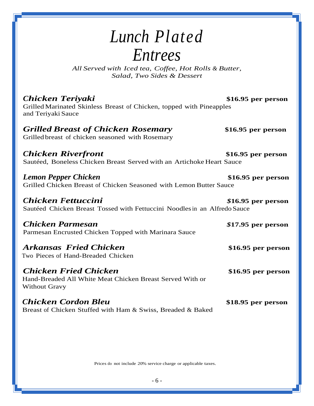# *Lunch Plated Entrees*

*All Served with Iced tea, Coffee, Hot Rolls & Butter, Salad, Two Sides & Dessert*

*Chicken Teriyaki* **\$16.95 per person** Grilled Marinated Skinless Breast of Chicken, topped with Pineapples and Teriyaki Sauce

### *Grilled Breast of Chicken Rosemary* **\$16.95 per person**

Grilled breast of chicken seasoned with Rosemary

*Chicken Riverfront* **\$16.95 per person** Sautéed, Boneless Chicken Breast Served with an Artichoke Heart Sauce

*Lemon Pepper Chicken* **\$16.95 per person** Grilled Chicken Breast of Chicken Seasoned with Lemon Butter Sauce

*Chicken Fettuccini \$***16.95 per person** Sautéed Chicken Breast Tossed with Fettuccini Noodlesin an Alfredo Sauce

*Chicken Parmesan \$***17.95 per person** Parmesan Encrusted Chicken Topped with Marinara Sauce

*Arkansas Fried Chicken* **\$16.95 per person** Two Pieces of Hand-Breaded Chicken

*Chicken Fried Chicken* **\$16.95 per person** Hand-Breaded All White Meat Chicken Breast Served With or Without Gravy

*Chicken Cordon Bleu* **\$18.95 per person** Breast of Chicken Stuffed with Ham & Swiss, Breaded & Baked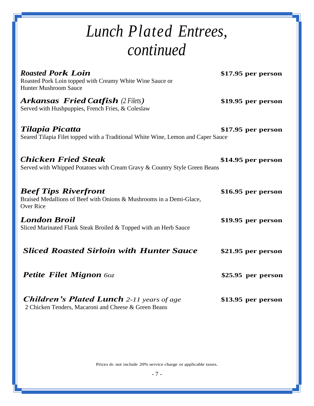# *Lunch Plated Entrees, continued*

| <b>Roasted Pork Loin</b><br>Roasted Pork Loin topped with Creamy White Wine Sauce or<br><b>Hunter Mushroom Sauce</b>   | $$17.95$ per person |
|------------------------------------------------------------------------------------------------------------------------|---------------------|
| <b>Arkansas Fried Catfish (2 Filets)</b><br>Served with Hushpuppies, French Fries, & Coleslaw                          | \$19.95 per person  |
| Tilapia Picatta<br>Seared Tilapia Filet topped with a Traditional White Wine, Lemon and Caper Sauce                    | $$17.95$ per person |
| <b>Chicken Fried Steak</b><br>Served with Whipped Potatoes with Cream Gravy & Country Style Green Beans                | \$14.95 per person  |
| <b>Beef Tips Riverfront</b><br>Braised Medallions of Beef with Onions & Mushrooms in a Demi-Glace,<br><b>Over Rice</b> | $$16.95$ per person |
| <b>London Broil</b><br>Sliced Marinated Flank Steak Broiled & Topped with an Herb Sauce                                | $$19.95$ per person |
| <b>Sliced Roasted Sirloin with Hunter Sauce</b>                                                                        | $$21.95$ per person |
| <b>Petite Filet Mignon 60z</b>                                                                                         | \$25.95 per person  |
| <b>Children's Plated Lunch</b> 2-11 years of age<br>2 Chicken Tenders, Macaroni and Cheese & Green Beans               | $$13.95$ per person |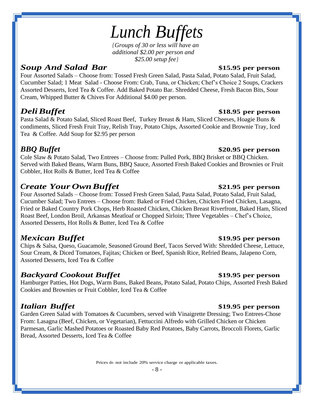# *Lunch Buffets*

*{Groups of 30 or less will have an additional \$2.00 per person and \$25.00 setup fee}*

### *Soup And Salad Bar* **\$15.95 per person**

Four Assorted Salads – Choose from: Tossed Fresh Green Salad, Pasta Salad, Potato Salad, Fruit Salad, Cucumber Salad; 1 Meat Salad - Choose From: Crab, Tuna, or Chicken; Chef's Choice 2 Soups, Crackers Assorted Desserts, Iced Tea & Coffee. Add Baked Potato Bar. Shredded Cheese, Fresh Bacon Bits, Sour Cream, Whipped Butter & Chives For Additional \$4.00 per person.

## *DeliBuffet* **\$18.95 per person**

Pasta Salad & Potato Salad, Sliced Roast Beef, Turkey Breast & Ham, Sliced Cheeses, Hoagie Buns & condiments, Sliced Fresh Fruit Tray, Relish Tray, Potato Chips, Assorted Cookie and Brownie Tray, Iced Tea & Coffee. Add Soup for \$2.95 per person

## *BBQ Buffet* **\$20.95 per person**

Cole Slaw & Potato Salad, Two Entrees – Choose from: Pulled Pork, BBQ Brisket or BBQ Chicken. Served with Baked Beans, Warm Buns, BBQ Sauce, Assorted Fresh Baked Cookies and Brownies or Fruit Cobbler, Hot Rolls & Butter, Iced Tea & Coffee

## *Create Your OwnBuffet* **\$21.95 per person**

Four Assorted Salads – Choose from: Tossed Fresh Green Salad, Pasta Salad, Potato Salad, Fruit Salad, Cucumber Salad; Two Entrees – Choose from: Baked or Fried Chicken, Chicken Fried Chicken, Lasagna, Fried or Baked Country Pork Chops, Herb Roasted Chicken, Chicken Breast Riverfront, Baked Ham, Sliced Roast Beef, London Broil, Arkansas Meatloaf or Chopped Sirloin; Three Vegetables – Chef's Choice, Assorted Desserts, Hot Rolls & Butter, Iced Tea & Coffee

### *Mexican Buffet* **\$19.95 per person**

Chips & Salsa, Queso, Guacamole, Seasoned Ground Beef, Tacos Served With: Shredded Cheese, Lettuce, Sour Cream, & Diced Tomatoes, Fajitas; Chicken or Beef, Spanish Rice, Refried Beans, Jalapeno Corn, Assorted Desserts, Iced Tea & Coffee

### *Backyard Cookout Buffet* **\$19.95 per person**

Hamburger Patties, Hot Dogs, Warm Buns, Baked Beans, Potato Salad, Potato Chips, Assorted Fresh Baked Cookies and Brownies or Fruit Cobbler, Iced Tea & Coffee

## *Italian Buffet* **\$19.95 per person**

Garden Green Salad with Tomatoes & Cucumbers, served with Vinaigrette Dressing; Two Entrees-Chose From: Lasagna (Beef, Chicken, or Vegetarian), Fettuccini Alfredo with Grilled Chicken or Chicken Parmesan, Garlic Mashed Potatoes or Roasted Baby Red Potatoes, Baby Carrots, Broccoli Florets, Garlic Bread, Assorted Desserts, Iced Tea & Coffee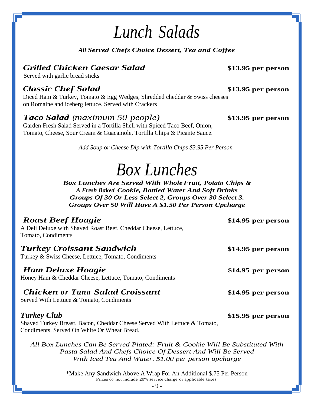# *Lunch Salads*

*All Served Chefs Choice Dessert, Tea and Coffee*

## *Grilled Chicken Caesar Salad* **\$13.95 per person**

Served with garlic bread sticks

### *Classic Chef Salad* **\$13.95 per person**

Diced Ham & Turkey, Tomato & Egg Wedges, Shredded cheddar & Swiss cheeses on Romaine and iceberg lettuce. Served with Crackers

### *Taco Salad (maximum 50 people)* **\$13.95 per person**

Garden Fresh Salad Served in a Tortilla Shell with Spiced Taco Beef, Onion, Tomato, Cheese, Sour Cream & Guacamole, Tortilla Chips & Picante Sauce.

*Add Soup or Cheese Dip with Tortilla Chips \$3.95 Per Person*

# *Box Lunches*

*Box Lunches Are Served With WholeFruit, Potato Chips & A Fresh Baked Cookie, Bottled Water And Soft Drinks Groups Of 30 Or Less Select 2, Groups Over 30 Select 3. Groups Over 50 Will Have A \$1.50 Per Person Upcharge*

### *Roast Beef Hoagie* **\$14.95 per person** A Deli Deluxe with Shaved Roast Beef, Cheddar Cheese, Lettuce, Tomato, Condiments *Turkey Croissant Sandwich* **\$14.95 per person** Turkey & Swiss Cheese, Lettuce, Tomato, Condiments *Ham Deluxe Hoagie* **\$14.95 per person** Honey Ham & Cheddar Cheese, Lettuce, Tomato, Condiments *Chicken or Tuna Salad Croissant* **\$14.95 per person** Served With Lettuce & Tomato, Condiments *Turkey Club* **\$15.95 per person** Shaved Turkey Breast, Bacon, Cheddar Cheese Served With Lettuce & Tomato, Condiments. Served On White Or Wheat Bread. *All Box Lunches Can Be Served Plated: Fruit & Cookie Will Be Substituted With Pasta Salad And Chefs Choice Of Dessert And Will Be Served With Iced Tea And Water. \$1.00 per person upcharge*

\*Make Any Sandwich Above A Wrap For An Additional \$.75 Per Person Prices do not include 20% service charge or applicable taxes.

- 9 -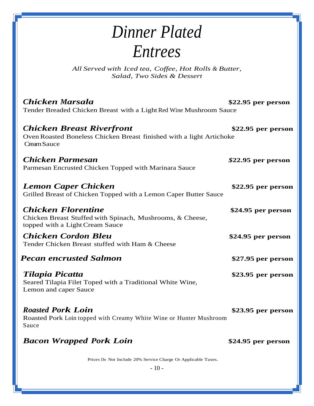# *Dinner Plated Entrees*

*All Served with Iced tea, Coffee, Hot Rolls & Butter, Salad, Two Sides & Dessert*

| <b>Chicken Marsala</b><br>Tender Breaded Chicken Breast with a Light Red Wine Mushroom Sauce                              | $$22.95$ per person |
|---------------------------------------------------------------------------------------------------------------------------|---------------------|
| <b>Chicken Breast Riverfront</b><br>Oven Roasted Boneless Chicken Breast finished with a light Artichoke<br>Cream Sauce   | $$22.95$ per person |
| Chicken Parmesan<br>Parmesan Encrusted Chicken Topped with Marinara Sauce                                                 | $$22.95$ per person |
| <b>Lemon Caper Chicken</b><br>Grilled Breast of Chicken Topped with a Lemon Caper Butter Sauce                            | $$22.95$ per person |
| <b>Chicken Florentine</b><br>Chicken Breast Stuffed with Spinach, Mushrooms, & Cheese,<br>topped with a Light Cream Sauce | \$24.95 per person  |
| <b>Chicken Cordon Bleu</b><br>Tender Chicken Breast stuffed with Ham & Cheese                                             | \$24.95 per person  |
| <b>Pecan encrusted Salmon</b>                                                                                             | \$27.95 per person  |
| Tilapia Picatta<br>Seared Tilapia Filet Toped with a Traditional White Wine,<br>Lemon and caper Sauce                     | $$23.95$ per person |
| <b>Roasted Pork Loin</b><br>Roasted Pork Loin topped with Creamy White Wine or Hunter Mushroom<br>Sauce                   | \$23.95 per person  |
| <b>Bacon Wrapped Pork Loin</b>                                                                                            | \$24.95 per person  |
| Prices Do Not Include 20% Service Charge Or Applicable Taxes.                                                             |                     |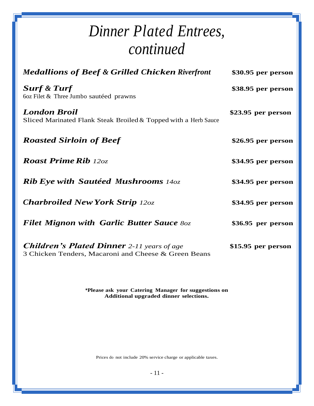# *Dinner Plated Entrees, continued*

| <b>Medallions of Beef &amp; Grilled Chicken Riverfront</b>                                                | $$30.95$ per person |
|-----------------------------------------------------------------------------------------------------------|---------------------|
| <b>Surf &amp; Turf</b><br>60z Filet & Three Jumbo sautéed prawns                                          | \$38.95 per person  |
| <b>London Broil</b><br>Sliced Marinated Flank Steak Broiled & Topped with a Herb Sauce                    | $$23.95$ per person |
| <b>Roasted Sirloin of Beef</b>                                                                            | $$26.95$ per person |
| <b>Roast Prime Rib</b> 12oz                                                                               | \$34.95 per person  |
| <b>Rib Eye with Sautéed Mushrooms</b> 14oz                                                                | \$34.95 per person  |
| <b>Charbroiled New York Strip 12oz</b>                                                                    | \$34.95 per person  |
| <b>Filet Mignon with Garlic Butter Sauce 80z</b>                                                          | \$36.95 per person  |
| <b>Children's Plated Dinner</b> 2-11 years of age<br>3 Chicken Tenders, Macaroni and Cheese & Green Beans | $$15.95$ per person |

**\*Please ask your Catering Manager for suggestions on Additional upgraded dinner selections.**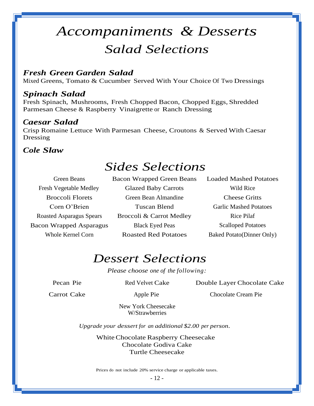# *Accompaniments & Desserts Salad Selections*

### *Fresh Green Garden Salad*

Mixed Greens, Tomato & Cucumber Served With Your Choice Of Two Dressings

#### *Spinach Salad*

Fresh Spinach, Mushrooms, Fresh Chopped Bacon, Chopped Eggs, Shredded Parmesan Cheese & Raspberry Vinaigrette or Ranch Dressing

#### *Caesar Salad*

Crisp Romaine Lettuce With Parmesan Cheese, Croutons & Served With Caesar Dressing

#### *Cole Slaw*

## *Sides Selections*

Fresh Vegetable Medley Glazed Baby Carrots Wild Rice Broccoli Florets Green Bean Almandine Cheese Gritts Corn O'Brien Tuscan Blend Garlic Mashed Potatoes Roasted Asparagus Spears Broccoli & Carrot Medley Rice Pilaf Bacon Wrapped Asparagus Black Eyed Peas Scalloped Potatoes Whole Kernel Corn **Roasted Red Potatoes** Baked Potato(Dinner Only)

Green Beans Bacon Wrapped Green Beans Loaded Mashed Potatoes

## *Dessert Selections*

*Please choose one of the following:*

Pecan Pie Red Velvet Cake Double Layer Chocolate Cake

Carrot Cake Apple Pie Chocolate Cream Pie

New York Cheesecake W/Strawberries

*Upgrade your dessert for an additional \$2.00 per person.*

WhiteChocolate Raspberry Cheesecake Chocolate Godiva Cake Turtle Cheesecake

Prices do not include 20% service charge or applicable taxes.

- 12 -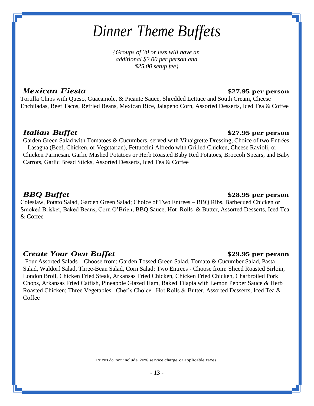# *Dinner Theme Buffets*

*{Groups of 30 or less will have an additional \$2.00 per person and \$25.00 setup fee}*

### *Mexican Fiesta* **\$27.95 per person**

Tortilla Chips with Queso, Guacamole, & Picante Sauce, Shredded Lettuce and South Cream, Cheese Enchiladas, Beef Tacos, Refried Beans, Mexican Rice, Jalapeno Corn, Assorted Desserts, Iced Tea & Coffee

#### *Italian Buffet* **\$27.95 per person**

Garden Green Salad with Tomatoes & Cucumbers, served with Vinaigrette Dressing, Choice of two Entrées – Lasagna (Beef, Chicken, or Vegetarian), Fettuccini Alfredo with Grilled Chicken, Cheese Ravioli, or Chicken Parmesan. Garlic Mashed Potatoes or Herb Roasted Baby Red Potatoes, Broccoli Spears, and Baby Carrots, Garlic Bread Sticks, Assorted Desserts, Iced Tea & Coffee

#### *BBQ Buffet* **\$28.95 per person**

Coleslaw, Potato Salad, Garden Green Salad; Choice of Two Entrees – BBQ Ribs, Barbecued Chicken or Smoked Brisket, Baked Beans, Corn O'Brien, BBQ Sauce, Hot Rolls & Butter, Assorted Desserts, Iced Tea & Coffee

#### *Create Your Own Buffet* **\$29.95 per person**

Four Assorted Salads – Choose from: Garden Tossed Green Salad, Tomato & Cucumber Salad, Pasta Salad, Waldorf Salad, Three-Bean Salad, Corn Salad; Two Entrees - Choose from: Sliced Roasted Sirloin, London Broil, Chicken Fried Steak, Arkansas Fried Chicken, Chicken Fried Chicken, Charbroiled Pork Chops, Arkansas Fried Catfish, Pineapple Glazed Ham, Baked Tilapia with Lemon Pepper Sauce & Herb Roasted Chicken; Three Vegetables –Chef's Choice. Hot Rolls & Butter, Assorted Desserts, Iced Tea & **Coffee** 

- 13 -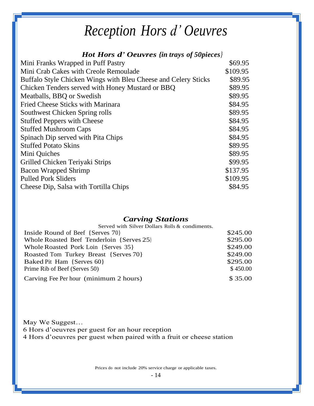# *Reception Hors d' Oeuvres*

### *Hot Hors d' Oeuvres {in trays of 50pieces}*

| Mini Franks Wrapped in Puff Pastry                             | \$69.95  |
|----------------------------------------------------------------|----------|
| Mini Crab Cakes with Creole Remoulade                          | \$109.95 |
| Buffalo Style Chicken Wings with Bleu Cheese and Celery Sticks | \$89.95  |
| Chicken Tenders served with Honey Mustard or BBQ               | \$89.95  |
| Meatballs, BBQ or Swedish                                      | \$89.95  |
| <b>Fried Cheese Sticks with Marinara</b>                       | \$84.95  |
| Southwest Chicken Spring rolls                                 | \$89.95  |
| <b>Stuffed Peppers with Cheese</b>                             | \$84.95  |
| <b>Stuffed Mushroom Caps</b>                                   | \$84.95  |
| Spinach Dip served with Pita Chips                             | \$84.95  |
| <b>Stuffed Potato Skins</b>                                    | \$89.95  |
| Mini Quiches                                                   | \$89.95  |
| Grilled Chicken Teriyaki Strips                                | \$99.95  |
| <b>Bacon Wrapped Shrimp</b>                                    | \$137.95 |
| <b>Pulled Pork Sliders</b>                                     | \$109.95 |
| Cheese Dip, Salsa with Tortilla Chips                          | \$84.95  |
|                                                                |          |

#### *Carving Stations*

| \$245.00 |
|----------|
| \$295.00 |
| \$249.00 |
| \$249.00 |
| \$295.00 |
| \$450.00 |
| \$35.00  |
|          |

May We Suggest… 6 Hors d'oeuvres per guest for an hour reception 4 Hors d'oeuvres per guest when paired with a fruit or cheese station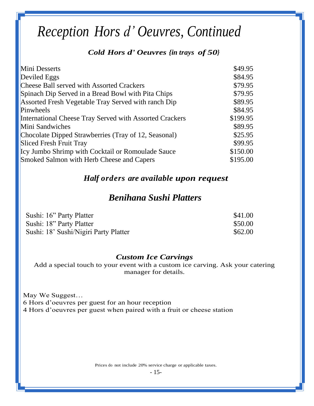# *Reception Hors d' Oeuvres, Continued*

### *Cold Hors d' Oeuvres {in trays of 50}*

| Mini Desserts                                           | \$49.95  |
|---------------------------------------------------------|----------|
| Deviled Eggs                                            | \$84.95  |
| <b>Cheese Ball served with Assorted Crackers</b>        | \$79.95  |
| Spinach Dip Served in a Bread Bowl with Pita Chips      | \$79.95  |
| Assorted Fresh Vegetable Tray Served with ranch Dip     | \$89.95  |
| Pinwheels                                               | \$84.95  |
| International Cheese Tray Served with Assorted Crackers | \$199.95 |
| Mini Sandwiches                                         | \$89.95  |
| Chocolate Dipped Strawberries (Tray of 12, Seasonal)    | \$25.95  |
| Sliced Fresh Fruit Tray                                 | \$99.95  |
| Icy Jumbo Shrimp with Cocktail or Romoulade Sauce       | \$150.00 |
| Smoked Salmon with Herb Cheese and Capers               | \$195.00 |

#### *Half orders are available upon request*

## *Benihana Sushi Platters*

| Sushi: 16" Party Platter              | \$41.00 |
|---------------------------------------|---------|
| Sushi: 18" Party Platter              | \$50.00 |
| Sushi: 18' Sushi/Nigiri Party Platter | \$62.00 |

#### *Custom Ice Carvings*

Add a special touch to your event with a custom ice carving. Ask your catering manager for details.

May We Suggest… 6 Hors d'oeuvres per guest for an hour reception 4 Hors d'oeuvres per guest when paired with a fruit or cheese station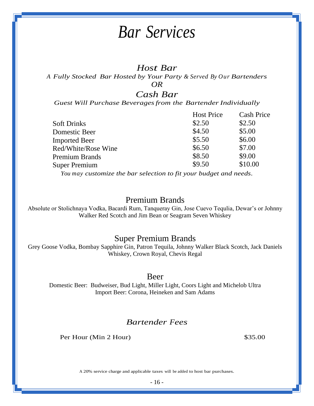# *Bar Services*

### *Host Bar*

*A Fully Stocked Bar Hosted by Your Party & Served By Our Bartenders*

*OR*

## *Cash Bar*

*Guest Will Purchase Beveragesfrom the BartenderIndividually*

|                      | <b>Host Price</b> | <b>Cash Price</b> |
|----------------------|-------------------|-------------------|
| <b>Soft Drinks</b>   | \$2.50            | \$2.50            |
| Domestic Beer        | \$4.50            | \$5.00            |
| <b>Imported Beer</b> | \$5.50            | \$6.00            |
| Red/White/Rose Wine  | \$6.50            | \$7.00            |
| Premium Brands       | \$8.50            | \$9.00            |
| <b>Super Premium</b> | \$9.50            | \$10.00           |
|                      |                   |                   |

*You may customize the bar selection to fit your budget and needs.*

#### Premium Brands

Absolute or Stolichnaya Vodka, Bacardi Rum, Tanqueray Gin, Jose Cuevo Tequlia, Dewar's or Johnny Walker Red Scotch and Jim Bean or Seagram Seven Whiskey

#### Super Premium Brands

Grey Goose Vodka, Bombay Sapphire Gin, Patron Tequila, Johnny Walker Black Scotch, Jack Daniels Whiskey, Crown Royal, Chevis Regal

#### Beer

Domestic Beer: Budweiser, Bud Light, Miller Light, Coors Light and Michelob Ultra Import Beer: Corona, Heineken and Sam Adams

#### *Bartender Fees*

Per Hour (Min 2 Hour) \$35.00

A 20% service charge and applicable taxes will be added to host bar purchases.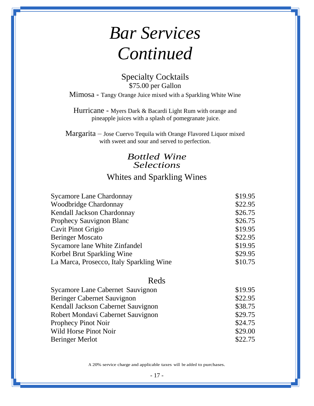# *Bar Services Continued*

Specialty Cocktails \$75.00 per Gallon Mimosa - Tangy Orange Juice mixed with a Sparkling White Wine

Hurricane - Myers Dark & Bacardi Light Rum with orange and pineapple juices with a splash of pomegranate juice.

Margarita – Jose Cuervo Tequila with Orange Flavored Liquor mixed with sweet and sour and served to perfection.

## *Bottled Wine Selections* Whites and Sparkling Wines

| <b>Sycamore Lane Chardonnay</b>          | \$19.95 |
|------------------------------------------|---------|
| <b>Woodbridge Chardonnay</b>             | \$22.95 |
| Kendall Jackson Chardonnay               | \$26.75 |
| Prophecy Sauvignon Blanc                 | \$26.75 |
| Cavit Pinot Grigio                       | \$19.95 |
| <b>Beringer Moscato</b>                  | \$22.95 |
| Sycamore lane White Zinfandel            | \$19.95 |
| Korbel Brut Sparkling Wine               | \$29.95 |
| La Marca, Prosecco, Italy Sparkling Wine | \$10.75 |

#### Reds

| Sycamore Lane Cabernet Sauvignon   | \$19.95 |
|------------------------------------|---------|
| <b>Beringer Cabernet Sauvignon</b> | \$22.95 |
| Kendall Jackson Cabernet Sauvignon | \$38.75 |
| Robert Mondavi Cabernet Sauvignon  | \$29.75 |
| <b>Prophecy Pinot Noir</b>         | \$24.75 |
| Wild Horse Pinot Noir              | \$29.00 |
| <b>Beringer Merlot</b>             | \$22.75 |

A 20% service charge and applicable taxes will be added to purchases.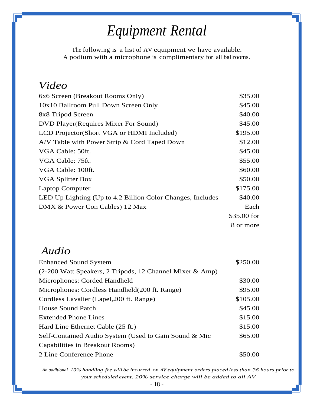# *Equipment Rental*

The following is a list of AV equipment we have available. A podium with a microphone is complimentary for all ballrooms.

## *Video*

| 6x6 Screen (Breakout Rooms Only)                           | \$35.00     |
|------------------------------------------------------------|-------------|
| 10x10 Ballroom Pull Down Screen Only                       | \$45.00     |
| 8x8 Tripod Screen                                          | \$40.00     |
| DVD Player (Requires Mixer For Sound)                      | \$45.00     |
| LCD Projector (Short VGA or HDMI Included)                 | \$195.00    |
| A/V Table with Power Strip & Cord Taped Down               | \$12.00     |
| VGA Cable: 50ft.                                           | \$45.00     |
| VGA Cable: 75ft.                                           | \$55.00     |
| VGA Cable: 100ft.                                          | \$60.00     |
| VGA Splitter Box                                           | \$50.00     |
| <b>Laptop Computer</b>                                     | \$175.00    |
| LED Up Lighting (Up to 4.2 Billion Color Changes, Includes | \$40.00     |
| DMX & Power Con Cables) 12 Max                             | Each        |
|                                                            | \$35.00 for |
|                                                            | 8 or more   |

## *Audio*

| <b>Enhanced Sound System</b>                             | \$250.00 |
|----------------------------------------------------------|----------|
| (2-200 Watt Speakers, 2 Tripods, 12 Channel Mixer & Amp) |          |
| Microphones: Corded Handheld                             | \$30.00  |
| Microphones: Cordless Handheld(200 ft. Range)            | \$95.00  |
| Cordless Lavalier (Lapel, 200 ft. Range)                 | \$105.00 |
| <b>House Sound Patch</b>                                 | \$45.00  |
| <b>Extended Phone Lines</b>                              | \$15.00  |
| Hard Line Ethernet Cable (25 ft.)                        | \$15.00  |
| Self-Contained Audio System (Used to Gain Sound & Mic    | \$65.00  |
| Capabilities in Breakout Rooms)                          |          |
| 2 Line Conference Phone                                  | \$50.00  |

*An additional 10% handling fee will be incurred on AV equipment orders placed less than 36 hours prior to your scheduled event. 20% service charge will be added to all AV*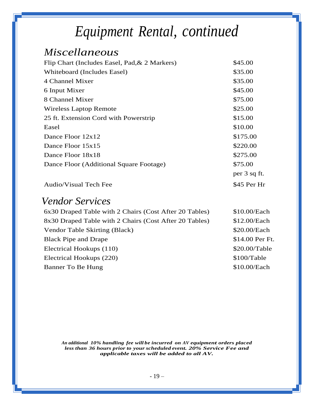# *Equipment Rental, continued*

## *Miscellaneous*

| Flip Chart (Includes Easel, Pad, & 2 Markers) | \$45.00      |
|-----------------------------------------------|--------------|
| Whiteboard (Includes Easel)                   | \$35.00      |
| 4 Channel Mixer                               | \$35.00      |
| 6 Input Mixer                                 | \$45.00      |
| 8 Channel Mixer                               | \$75.00      |
| <b>Wireless Laptop Remote</b>                 | \$25.00      |
| 25 ft. Extension Cord with Powerstrip         | \$15.00      |
| Easel                                         | \$10.00      |
| Dance Floor $12x12$                           | \$175.00     |
| Dance Floor 15x15                             | \$220.00     |
| Dance Floor 18x18                             | \$275.00     |
| Dance Floor (Additional Square Footage)       | \$75.00      |
|                                               | per 3 sq ft. |
| <b>Audio/Visual Tech Fee</b>                  | \$45 Per Hr  |

## *Vendor Services*

| 6x30 Draped Table with 2 Chairs (Cost After 20 Tables) | \$10.00/Each    |
|--------------------------------------------------------|-----------------|
| 8x30 Draped Table with 2 Chairs (Cost After 20 Tables) | \$12.00/Each    |
| Vendor Table Skirting (Black)                          | \$20.00/Each    |
| <b>Black Pipe and Drape</b>                            | \$14.00 Per Ft. |
| Electrical Hookups (110)                               | \$20.00/Table   |
| Electrical Hookups (220)                               | \$100/Table     |
| Banner To Be Hung                                      | \$10.00/Each    |

*An additional 10% handling fee will be incurred on AV equipment orders placed less than 36 hours prior to your scheduled event. 20% Service Fee and applicable taxes will be added to all AV.*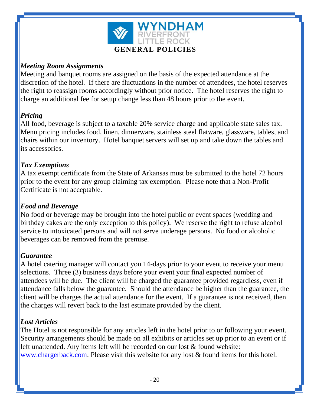

#### *Meeting Room Assignments*

Meeting and banquet rooms are assigned on the basis of the expected attendance at the discretion of the hotel. If there are fluctuations in the number of attendees, the hotel reserves the right to reassign rooms accordingly without prior notice. The hotel reserves the right to charge an additional fee for setup change less than 48 hours prior to the event.

### *Pricing*

All food, beverage is subject to a taxable 20% service charge and applicable state sales tax. Menu pricing includes food, linen, dinnerware, stainless steel flatware, glassware, tables, and chairs within our inventory. Hotel banquet servers will set up and take down the tables and its accessories.

#### *Tax Exemptions*

A tax exempt certificate from the State of Arkansas must be submitted to the hotel 72 hours prior to the event for any group claiming tax exemption. Please note that a Non-Profit Certificate is not acceptable.

### *Food and Beverage*

No food or beverage may be brought into the hotel public or event spaces (wedding and birthday cakes are the only exception to this policy). We reserve the right to refuse alcohol service to intoxicated persons and will not serve underage persons. No food or alcoholic beverages can be removed from the premise.

#### *Guarantee*

A hotel catering manager will contact you 14-days prior to your event to receive your menu selections. Three (3) business days before your event your final expected number of attendees will be due. The client will be charged the guarantee provided regardless, even if attendance falls below the guarantee. Should the attendance be higher than the guarantee, the client will be charges the actual attendance for the event. If a guarantee is not received, then the charges will revert back to the last estimate provided by the client.

#### *Lost Articles*

The Hotel is not responsible for any articles left in the hotel prior to or following your event. Security arrangements should be made on all exhibits or articles set up prior to an event or if left unattended. Any items left will be recorded on our lost & found website: [www.chargerback.com.](http://www.chargerback.com/) Please visit this website for any lost & found items for this hotel.